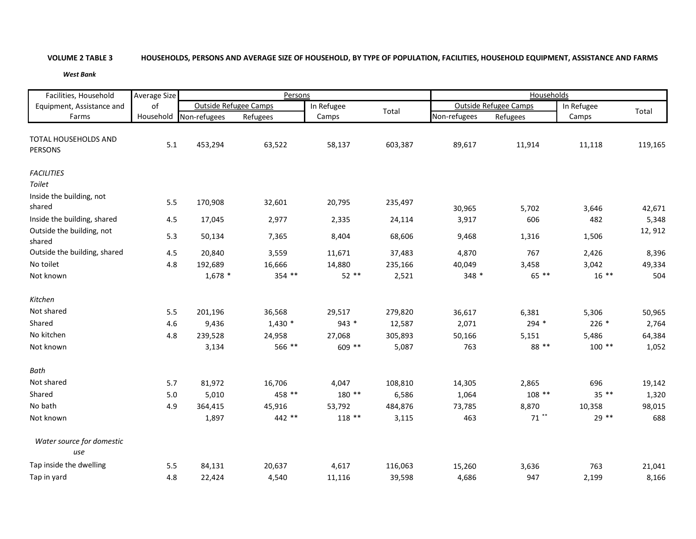## **VOLUME 2**

## 2 TABLE 3 HOUSEHOLDS, PERSONS AND AVERAGE SIZE OF HOUSEHOLD, BY TYPE OF POPULATION, FACILITIES, HOUSEHOLD EQUIPMENT, ASSISTANCE AND FARMS

*West Bank*

| Facilities, Household                         | Average Size<br>of |                              | Persons  |            |         | Households   |                              |                     |         |  |
|-----------------------------------------------|--------------------|------------------------------|----------|------------|---------|--------------|------------------------------|---------------------|---------|--|
| Equipment, Assistance and                     |                    | <b>Outside Refugee Camps</b> |          | In Refugee | Total   |              | <b>Outside Refugee Camps</b> |                     |         |  |
| Farms                                         |                    | Household Non-refugees       | Refugees | Camps      |         | Non-refugees | Refugees                     | In Refugee<br>Camps | Total   |  |
| <b>TOTAL HOUSEHOLDS AND</b><br><b>PERSONS</b> | 5.1                | 453,294                      | 63,522   | 58,137     | 603,387 | 89,617       | 11,914                       | 11,118              | 119,165 |  |
| <b>FACILITIES</b><br>Toilet                   |                    |                              |          |            |         |              |                              |                     |         |  |
| Inside the building, not<br>shared            | 5.5                | 170,908                      | 32,601   | 20,795     | 235,497 | 30,965       | 5,702                        | 3,646               | 42,671  |  |
| Inside the building, shared                   | 4.5                | 17,045                       | 2,977    | 2,335      | 24,114  | 3,917        | 606                          | 482                 | 5,348   |  |
| Outside the building, not<br>shared           | 5.3                | 50,134                       | 7,365    | 8,404      | 68,606  | 9,468        | 1,316                        | 1,506               | 12, 912 |  |
| Outside the building, shared                  | 4.5                | 20,840                       | 3,559    | 11,671     | 37,483  | 4,870        | 767                          | 2,426               | 8,396   |  |
| No toilet                                     | 4.8                | 192,689                      | 16,666   | 14,880     | 235,166 | 40,049       | 3,458                        | 3,042               | 49,334  |  |
| Not known                                     |                    | $1,678$ *                    | 354 **   | $52$ **    | 2,521   | 348 *        | 65 **                        | $16***$             | 504     |  |
| Kitchen                                       |                    |                              |          |            |         |              |                              |                     |         |  |
| Not shared                                    | 5.5                | 201,196                      | 36,568   | 29,517     | 279,820 | 36,617       | 6,381                        | 5,306               | 50,965  |  |
| Shared                                        | 4.6                | 9,436                        | $1,430*$ | 943 *      | 12,587  | 2,071        | 294 *                        | $226*$              | 2,764   |  |
| No kitchen                                    | 4.8                | 239,528                      | 24,958   | 27,068     | 305,893 | 50,166       | 5,151                        | 5,486               | 64,384  |  |
| Not known                                     |                    | 3,134                        | 566 **   | 609 **     | 5,087   | 763          | 88 **                        | $100**$             | 1,052   |  |
| Bath                                          |                    |                              |          |            |         |              |                              |                     |         |  |
| Not shared                                    | 5.7                | 81,972                       | 16,706   | 4,047      | 108,810 | 14,305       | 2,865                        | 696                 | 19,142  |  |
| Shared                                        | $5.0$              | 5,010                        | 458 **   | 180 **     | 6,586   | 1,064        | $108**$                      | $35***$             | 1,320   |  |
| No bath                                       | 4.9                | 364,415                      | 45,916   | 53,792     | 484,876 | 73,785       | 8,870                        | 10,358              | 98,015  |  |
| Not known                                     |                    | 1,897                        | 442 **   | $118**$    | 3,115   | 463          | $71$ **                      | $29**$              | 688     |  |
| Water source for domestic<br>use              |                    |                              |          |            |         |              |                              |                     |         |  |
| Tap inside the dwelling                       | 5.5                | 84,131                       | 20,637   | 4,617      | 116,063 | 15,260       | 3,636                        | 763                 | 21,041  |  |
| Tap in yard                                   | 4.8                | 22,424                       | 4,540    | 11,116     | 39,598  | 4,686        | 947                          | 2,199               | 8,166   |  |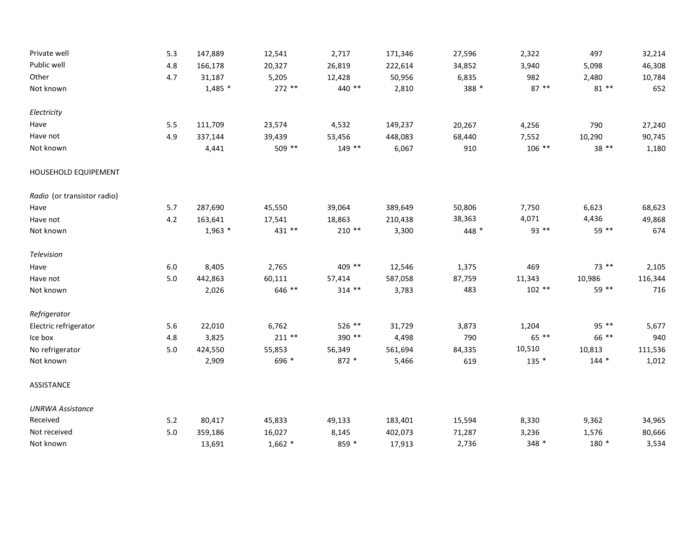| Private well                | 5.3     | 147,889   | 12,541    | 2,717    | 171,346 | 27,596 | 2,322   | 497    | 32,214  |
|-----------------------------|---------|-----------|-----------|----------|---------|--------|---------|--------|---------|
| Public well                 | 4.8     | 166,178   | 20,327    | 26,819   | 222,614 | 34,852 | 3,940   | 5,098  | 46,308  |
| Other                       | 4.7     | 31,187    | 5,205     | 12,428   | 50,956  | 6,835  | 982     | 2,480  | 10,784  |
| Not known                   |         | $1,485$ * | 272 **    | 440 **   | 2,810   | 388 *  | $87**$  | $81**$ | 652     |
| Electricity                 |         |           |           |          |         |        |         |        |         |
| Have                        | $5.5\,$ | 111,709   | 23,574    | 4,532    | 149,237 | 20,267 | 4,256   | 790    | 27,240  |
| Have not                    | 4.9     | 337,144   | 39,439    | 53,456   | 448,083 | 68,440 | 7,552   | 10,290 | 90,745  |
| Not known                   |         | 4,441     | 509 **    | 149 **   | 6,067   | 910    | $106**$ | 38 **  | 1,180   |
| HOUSEHOLD EQUIPEMENT        |         |           |           |          |         |        |         |        |         |
| Radio (or transistor radio) |         |           |           |          |         |        |         |        |         |
| Have                        | 5.7     | 287,690   | 45,550    | 39,064   | 389,649 | 50,806 | 7,750   | 6,623  | 68,623  |
| Have not                    | 4.2     | 163,641   | 17,541    | 18,863   | 210,438 | 38,363 | 4,071   | 4,436  | 49,868  |
| Not known                   |         | $1,963$ * | 431 **    | $210**$  | 3,300   | 448 *  | 93 **   | 59 **  | 674     |
| Television                  |         |           |           |          |         |        |         |        |         |
| Have                        | $6.0\,$ | 8,405     | 2,765     | 409 **   | 12,546  | 1,375  | 469     | 73 **  | 2,105   |
| Have not                    | $5.0$   | 442,863   | 60,111    | 57,414   | 587,058 | 87,759 | 11,343  | 10,986 | 116,344 |
| Not known                   |         | 2,026     | 646 **    | $314$ ** | 3,783   | 483    | $102**$ | 59 **  | 716     |
| Refrigerator                |         |           |           |          |         |        |         |        |         |
| Electric refrigerator       | 5.6     | 22,010    | 6,762     | 526 **   | 31,729  | 3,873  | 1,204   | 95 **  | 5,677   |
| Ice box                     | 4.8     | 3,825     | $211**$   | 390 **   | 4,498   | 790    | 65 **   | 66 **  | 940     |
| No refrigerator             | $5.0\,$ | 424,550   | 55,853    | 56,349   | 561,694 | 84,335 | 10,510  | 10,813 | 111,536 |
| Not known                   |         | 2,909     | 696 *     | 872 *    | 5,466   | 619    | $135$ * | $144*$ | 1,012   |
| ASSISTANCE                  |         |           |           |          |         |        |         |        |         |
| <b>UNRWA Assistance</b>     |         |           |           |          |         |        |         |        |         |
| Received                    | $5.2$   | 80,417    | 45,833    | 49,133   | 183,401 | 15,594 | 8,330   | 9,362  | 34,965  |
| Not received                | 5.0     | 359,186   | 16,027    | 8,145    | 402,073 | 71,287 | 3,236   | 1,576  | 80,666  |
| Not known                   |         | 13,691    | $1,662$ * | 859 *    | 17,913  | 2,736  | 348 *   | 180 *  | 3,534   |